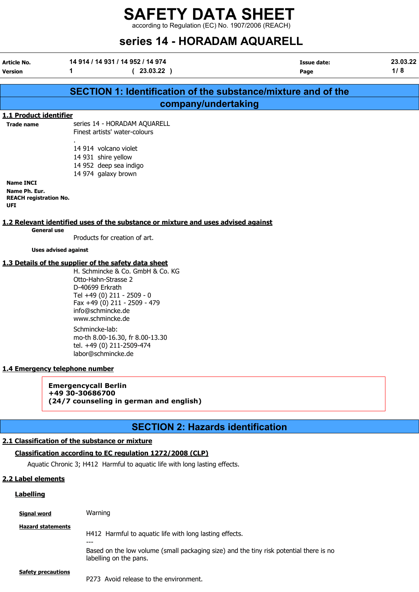according to Regulation (EC) No. 1907/2006 (REACH)

# series 14 - HORADAM AQUARELL

| Article No.                    | 14 914 / 14 931 / 14 952 / 14 974                                                 | <b>Issue date:</b> | 23.03.22 |
|--------------------------------|-----------------------------------------------------------------------------------|--------------------|----------|
| <b>Version</b>                 | 1<br>(23.03.22)                                                                   | Page               | 1/8      |
|                                |                                                                                   |                    |          |
|                                | <b>SECTION 1: Identification of the substance/mixture and of the</b>              |                    |          |
|                                | company/undertaking                                                               |                    |          |
| 1.1 Product identifier         |                                                                                   |                    |          |
| <b>Trade name</b>              | series 14 - HORADAM AQUARELL                                                      |                    |          |
|                                | Finest artists' water-colours                                                     |                    |          |
|                                | 14 914 volcano violet                                                             |                    |          |
|                                | 14 931 shire yellow                                                               |                    |          |
|                                | 14 952 deep sea indigo                                                            |                    |          |
|                                | 14 974 galaxy brown                                                               |                    |          |
| <b>Name INCI</b>               |                                                                                   |                    |          |
| Name Ph. Eur.                  |                                                                                   |                    |          |
| <b>REACH registration No.</b>  |                                                                                   |                    |          |
| UFI                            |                                                                                   |                    |          |
|                                | 1.2 Relevant identified uses of the substance or mixture and uses advised against |                    |          |
| <b>General use</b>             |                                                                                   |                    |          |
|                                | Products for creation of art.                                                     |                    |          |
| <b>Uses advised against</b>    |                                                                                   |                    |          |
|                                | 1.3 Details of the supplier of the safety data sheet                              |                    |          |
|                                | H. Schmincke & Co. GmbH & Co. KG                                                  |                    |          |
|                                | Otto-Hahn-Strasse 2                                                               |                    |          |
|                                | D-40699 Erkrath                                                                   |                    |          |
|                                | Tel +49 (0) 211 - 2509 - 0                                                        |                    |          |
|                                | Fax +49 (0) 211 - 2509 - 479                                                      |                    |          |
|                                | info@schmincke.de<br>www.schmincke.de                                             |                    |          |
|                                |                                                                                   |                    |          |
|                                | Schmincke-lab:                                                                    |                    |          |
|                                | mo-th 8.00-16.30, fr 8.00-13.30                                                   |                    |          |
|                                | tel. +49 (0) 211-2509-474<br>labor@schmincke.de                                   |                    |          |
|                                |                                                                                   |                    |          |
| 1.4 Emergency telephone number |                                                                                   |                    |          |
|                                |                                                                                   |                    |          |
|                                | <b>Emergencycall Berlin</b><br>+49 30-30686700                                    |                    |          |
|                                | (24/7 counseling in german and english)                                           |                    |          |
|                                |                                                                                   |                    |          |
|                                |                                                                                   |                    |          |
|                                | <b>SECTION 2: Hazards identification</b>                                          |                    |          |
|                                | 2.1 Classification of the substance or mixture                                    |                    |          |
|                                | Classification according to EC regulation 1272/2008 (CLP)                         |                    |          |
|                                | Aquatic Chronic 3; H412 Harmful to aquatic life with long lasting effects.        |                    |          |
|                                |                                                                                   |                    |          |
| 2.2 Label elements             |                                                                                   |                    |          |
| <b>Labelling</b>               |                                                                                   |                    |          |

| Signal word               | Warning                                                                                                                                                                     |
|---------------------------|-----------------------------------------------------------------------------------------------------------------------------------------------------------------------------|
| <b>Hazard statements</b>  | H412 Harmful to aquatic life with long lasting effects.<br>Based on the low volume (small packaging size) and the tiny risk potential there is no<br>labelling on the pans. |
| <b>Safety precautions</b> | P273 Avoid release to the environment.                                                                                                                                      |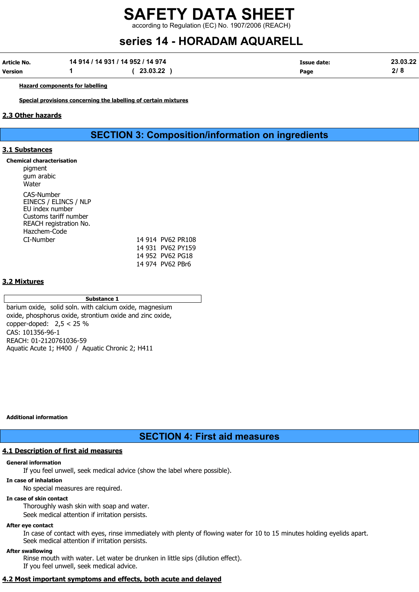according to Regulation (EC) No. 1907/2006 (REACH)

# series 14 - HORADAM AQUARELL

| Article No. | 14 914 / 14 931 / 14 952 / 14 974 |          | Issue date: | 23.03.22 |
|-------------|-----------------------------------|----------|-------------|----------|
| Version     |                                   | 23.03.22 | Page        |          |

Hazard components for labelling

Special provisions concerning the labelling of certain mixtures

#### 2.3 Other hazards

SECTION 3: Composition/information on ingredients

#### 3.1 Substances

| Chemical characterisation<br>pigment<br>gum arabic<br>Water                                                               |  |                  |                   |  |
|---------------------------------------------------------------------------------------------------------------------------|--|------------------|-------------------|--|
| CAS-Number<br>EINECS / ELINCS / NLP<br>EU index number<br>Customs tariff number<br>REACH registration No.<br>Hazchem-Code |  |                  |                   |  |
| CI-Number                                                                                                                 |  |                  | 14 914 PV62 PR108 |  |
|                                                                                                                           |  |                  | 14 931 PV62 PY159 |  |
|                                                                                                                           |  | 14 952 PV62 PG18 |                   |  |
|                                                                                                                           |  | 14 974 PV62 PBr6 |                   |  |

#### 3.2 Mixtures

#### Substance 1

barium oxide, solid soln. with calcium oxide, magnesium oxide, phosphorus oxide, strontium oxide and zinc oxide, copper-doped: 2,5 < 25 % CAS: 101356-96-1 REACH: 01-2120761036-59 Aquatic Acute 1; H400 / Aquatic Chronic 2; H411

Additional information

# SECTION 4: First aid measures

### 4.1 Description of first aid measures

#### General information

If you feel unwell, seek medical advice (show the label where possible).

#### In case of inhalation

No special measures are required.

#### In case of skin contact

Thoroughly wash skin with soap and water.

Seek medical attention if irritation persists.

### After eye contact

In case of contact with eyes, rinse immediately with plenty of flowing water for 10 to 15 minutes holding eyelids apart. Seek medical attention if irritation persists.

#### After swallowing

Rinse mouth with water. Let water be drunken in little sips (dilution effect). If you feel unwell, seek medical advice.

## 4.2 Most important symptoms and effects, both acute and delayed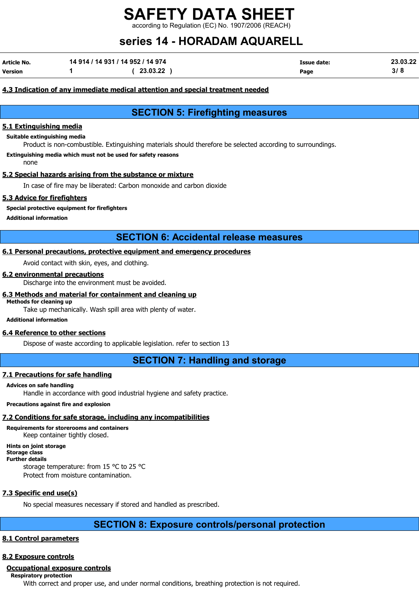ing to Regulation (EC) No. 1907/2006 (REACH)

# series 14 - HORADAM AQUARELL

| Article No. | 14 914 / 14 931 / 14 952 / 14 974 |          | Issue date: | 23.03.22 |
|-------------|-----------------------------------|----------|-------------|----------|
| Version     |                                   | 23.03.22 | Page        | 3/8      |

#### 4.3 Indication of any immediate medical attention and special treatment needed

# SECTION 5: Firefighting measures

#### 5.1 Extinguishing media

#### Suitable extinguishing media

Product is non-combustible. Extinguishing materials should therefore be selected according to surroundings.

#### Extinguishing media which must not be used for safety reasons

none

#### 5.2 Special hazards arising from the substance or mixture

In case of fire may be liberated: Carbon monoxide and carbon dioxide

#### 5.3 Advice for firefighters

#### Special protective equipment for firefighters

Additional information

## SECTION 6: Accidental release measures

#### 6.1 Personal precautions, protective equipment and emergency procedures

Avoid contact with skin, eyes, and clothing.

#### 6.2 environmental precautions

Discharge into the environment must be avoided.

#### 6.3 Methods and material for containment and cleaning up

#### Methods for cleaning up

Take up mechanically. Wash spill area with plenty of water.

#### Additional information

#### 6.4 Reference to other sections

Dispose of waste according to applicable legislation. refer to section 13

### SECTION 7: Handling and storage

#### 7.1 Precautions for safe handling

#### Advices on safe handling

Handle in accordance with good industrial hygiene and safety practice.

#### Precautions against fire and explosion

### 7.2 Conditions for safe storage, including any incompatibilities

Requirements for storerooms and containers Keep container tightly closed.

Hints on joint storage Storage class

#### Further details

storage temperature: from 15 °C to 25 °C Protect from moisture contamination.

# 7.3 Specific end use(s)

No special measures necessary if stored and handled as prescribed.

# SECTION 8: Exposure controls/personal protection

## 8.1 Control parameters

## 8.2 Exposure controls

### Occupational exposure controls

Respiratory protection

With correct and proper use, and under normal conditions, breathing protection is not required.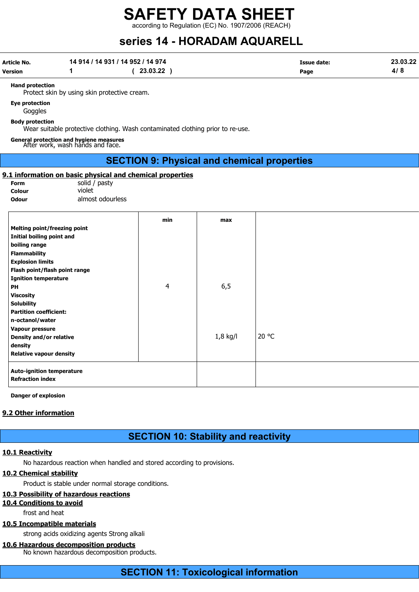according to Regulation (EC) No. 1907/2006 (REACH)

# series 14 - HORADAM AQUARELL

| <b>Article No.</b><br><b>Version</b>                                                                                                                                                                | 14 914 / 14 931 / 14 952 / 14 974<br>1                                                                   | (23.03.22)                                         |            | <b>Issue date:</b><br>Page | 23.03.22<br>4/8 |
|-----------------------------------------------------------------------------------------------------------------------------------------------------------------------------------------------------|----------------------------------------------------------------------------------------------------------|----------------------------------------------------|------------|----------------------------|-----------------|
| <b>Hand protection</b>                                                                                                                                                                              | Protect skin by using skin protective cream.                                                             |                                                    |            |                            |                 |
| <b>Eye protection</b><br>Goggles                                                                                                                                                                    |                                                                                                          |                                                    |            |                            |                 |
| <b>Body protection</b>                                                                                                                                                                              | Wear suitable protective clothing. Wash contaminated clothing prior to re-use.                           |                                                    |            |                            |                 |
|                                                                                                                                                                                                     | General protection and hygiene measures<br>After work, wash hands and face.                              |                                                    |            |                            |                 |
|                                                                                                                                                                                                     |                                                                                                          | <b>SECTION 9: Physical and chemical properties</b> |            |                            |                 |
| <b>Form</b><br>Colour<br><b>Odour</b>                                                                                                                                                               | 9.1 information on basic physical and chemical properties<br>solid / pasty<br>violet<br>almost odourless |                                                    |            |                            |                 |
| <b>Melting point/freezing point</b><br>Initial boiling point and<br>boiling range<br><b>Flammability</b><br><b>Explosion limits</b><br>Flash point/flash point range<br><b>Ignition temperature</b> |                                                                                                          | min                                                | max        |                            |                 |
| PH<br><b>Viscosity</b><br><b>Solubility</b><br><b>Partition coefficient:</b><br>n-octanol/water<br>Vapour pressure                                                                                  |                                                                                                          | 4                                                  | 6,5        |                            |                 |
| <b>Density and/or relative</b><br>density<br><b>Relative vapour density</b>                                                                                                                         |                                                                                                          |                                                    | $1,8$ kg/l | 20 °C                      |                 |
| <b>Auto-ignition temperature</b><br><b>Refraction index</b>                                                                                                                                         |                                                                                                          |                                                    |            |                            |                 |

Danger of explosion

#### 9.2 Other information

# SECTION 10: Stability and reactivity

#### 10.1 Reactivity

No hazardous reaction when handled and stored according to provisions.

#### 10.2 Chemical stability

Product is stable under normal storage conditions.

#### 10.3 Possibility of hazardous reactions

10.4 Conditions to avoid

frost and heat

### 10.5 Incompatible materials

strong acids oxidizing agents Strong alkali

## 10.6 Hazardous decomposition products

No known hazardous decomposition products.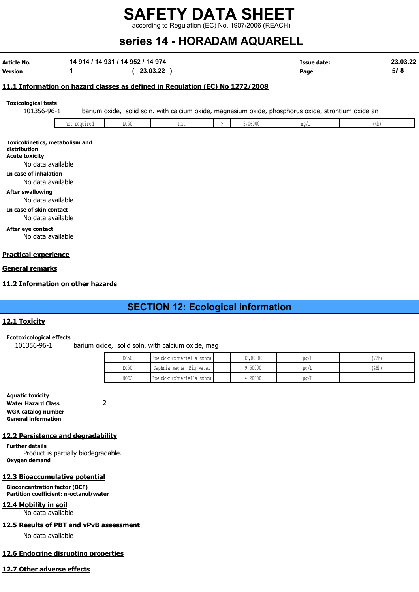according to Regulation (EC) No. 1907/2006 (REACH)

# series 14 - HORADAM AQUARELL

| Article No.                                                                                                                                                                                                                                                                          |              | 14 914 / 14 931 / 14 952 / 14 974 |                                                                               |               |         | <b>Issue date:</b>                                                                                  |      | 23.03.22 |
|--------------------------------------------------------------------------------------------------------------------------------------------------------------------------------------------------------------------------------------------------------------------------------------|--------------|-----------------------------------|-------------------------------------------------------------------------------|---------------|---------|-----------------------------------------------------------------------------------------------------|------|----------|
| Version                                                                                                                                                                                                                                                                              | 1            |                                   | (23.03.22)                                                                    |               |         | Page                                                                                                |      | 5/8      |
|                                                                                                                                                                                                                                                                                      |              |                                   | 11.1 Information on hazard classes as defined in Regulation (EC) No 1272/2008 |               |         |                                                                                                     |      |          |
| <b>Toxicological tests</b><br>101356-96-1                                                                                                                                                                                                                                            |              |                                   |                                                                               |               |         | barium oxide, solid soln. with calcium oxide, magnesium oxide, phosphorus oxide, strontium oxide an |      |          |
|                                                                                                                                                                                                                                                                                      | not required | LC50                              | Rat                                                                           | $\rightarrow$ | 5,06000 | mg/L                                                                                                | (4h) |          |
| Toxicokinetics, metabolism and<br>distribution<br><b>Acute toxicity</b><br>No data available<br>In case of inhalation<br>No data available<br><b>After swallowing</b><br>No data available<br>In case of skin contact<br>No data available<br>After eye contact<br>No data available |              |                                   |                                                                               |               |         |                                                                                                     |      |          |
| <b>Practical experience</b>                                                                                                                                                                                                                                                          |              |                                   |                                                                               |               |         |                                                                                                     |      |          |
| General remarks                                                                                                                                                                                                                                                                      |              |                                   |                                                                               |               |         |                                                                                                     |      |          |
| 11.2 Information on other hazards                                                                                                                                                                                                                                                    |              |                                   |                                                                               |               |         |                                                                                                     |      |          |
|                                                                                                                                                                                                                                                                                      |              |                                   | <b>SECTION 12: Ecological information</b>                                     |               |         |                                                                                                     |      |          |
| 12.1 Toxicity                                                                                                                                                                                                                                                                        |              |                                   |                                                                               |               |         |                                                                                                     |      |          |

#### Ecotoxicological effects

101356-96-1 barium oxide, solid soln. with calcium oxide, mag

| EC50 | Pseudokirchneriella subca | 32,00000 | ua/L | (72h) |
|------|---------------------------|----------|------|-------|
| EC50 | Daphnia magna (Big water  | 50000 ل  | ua/L | 48h)  |
| NOEC | Pseudokirchneriella subca | 1,20000  | uq/L |       |

Aquatic toxicity Water Hazard Class 2 WGK catalog number General information

#### 12.2 Persistence and degradability

Further details Product is partially biodegradable. Oxygen demand

### 12.3 Bioaccumulative potential

Bioconcentration factor (BCF) Partition coefficient: n-octanol/water

12.4 Mobility in soil No data available

#### 12.5 Results of PBT and vPvB assessment

No data available

### 12.6 Endocrine disrupting properties

### 12.7 Other adverse effects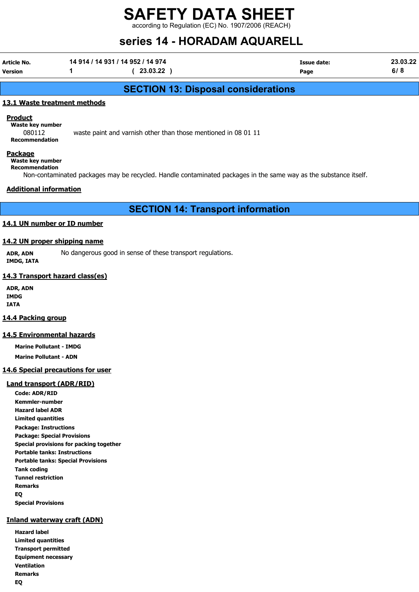according to Regulation (EC) No. 1907/2006 (REACH)

# series 14 - HORADAM AQUARELL

Article No. 14 914 / 14 931 / 14 952 / 14 974 Issue date: 23.03.22 Version 1 ( 23.03.22 ) Page 6/ 8

# SECTION 13: Disposal considerations

#### 13.1 Waste treatment methods

**Product** 

Waste key number 080112 waste paint and varnish other than those mentioned in 08 01 11 Recommendation

#### Package

Waste key number Recommendation

Non-contaminated packages may be recycled. Handle contaminated packages in the same way as the substance itself.

#### Additional information

SECTION 14: Transport information

#### 14.1 UN number or ID number

## 14.2 UN proper shipping name

ADR, ADN No dangerous good in sense of these transport regulations. IMDG, IATA

#### 14.3 Transport hazard class(es)

ADR, ADN IMDG IATA

#### 14.4 Packing group

#### 14.5 Environmental hazards

Marine Pollutant - IMDG Marine Pollutant - ADN

#### 14.6 Special precautions for user

#### Land transport (ADR/RID)

Code: ADR/RID Kemmler-number Hazard label ADR Limited quantities Package: Instructions Package: Special Provisions Special provisions for packing together Portable tanks: Instructions Portable tanks: Special Provisions Tank coding Tunnel restriction Remarks EQ Special Provisions

#### Inland waterway craft (ADN)

Hazard label Limited quantities Transport permitted Equipment necessary Ventilation Remarks EQ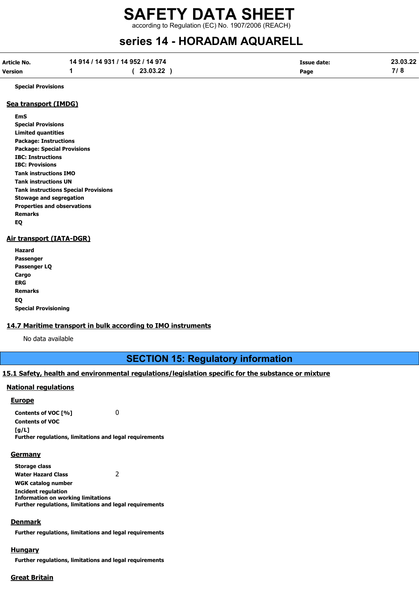# SAFETY DATA SHEET according to Regulation (EC) No. 1907/2006 (REACH)

# series 14 - HORADAM AQUARELL

| <b>Article No.</b> | 14 914 / 14 931 / 14 952 / 14 974 |          | Issue date: | 23.03.22 |
|--------------------|-----------------------------------|----------|-------------|----------|
| <b>Version</b>     |                                   | 23.03.22 | Page        |          |

Special Provisions

#### Sea transport (IMDG)

EmS Special Provisions Limited quantities Package: Instructions Package: Special Provisions IBC: Instructions IBC: Provisions Tank instructions IMO Tank instructions UN Tank instructions Special Provisions Stowage and segregation Properties and observations Remarks EQ

#### Air transport (IATA-DGR)

| Hazard                      |
|-----------------------------|
| Passenger                   |
| Passenger LQ                |
| Cargo                       |
| ERG                         |
| <b>Remarks</b>              |
| EQ                          |
| <b>Special Provisioning</b> |

#### 14.7 Maritime transport in bulk according to IMO instruments

No data available

# SECTION 15: Regulatory information

#### 15.1 Safety, health and environmental regulations/legislation specific for the substance or mixture

#### National regulations

#### Europe

Contents of VOC [%] 0 Contents of VOC  $[a/L]$ Further regulations, limitations and legal requirements

#### **Germany**

Storage class Water Hazard Class 2 WGK catalog number Incident regulation Information on working limitations Further regulations, limitations and legal requirements

#### **Denmark**

Further regulations, limitations and legal requirements

#### **Hungary**

Further regulations, limitations and legal requirements

#### Great Britain